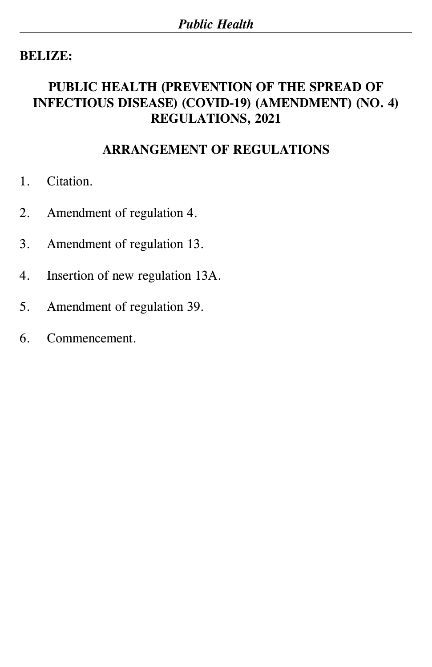# **BELIZE:**

### **PUBLIC HEALTH (PREVENTION OF THE SPREAD OF INFECTIOUS DISEASE) (COVID-19) (AMENDMENT) (NO. 4) REGULATIONS, 2021**

### **ARRANGEMENT OF REGULATIONS**

- 1. Citation.
- 2. Amendment of regulation 4.
- 3. Amendment of regulation 13.
- 4. Insertion of new regulation 13A.
- 5. Amendment of regulation 39.
- 6. Commencement.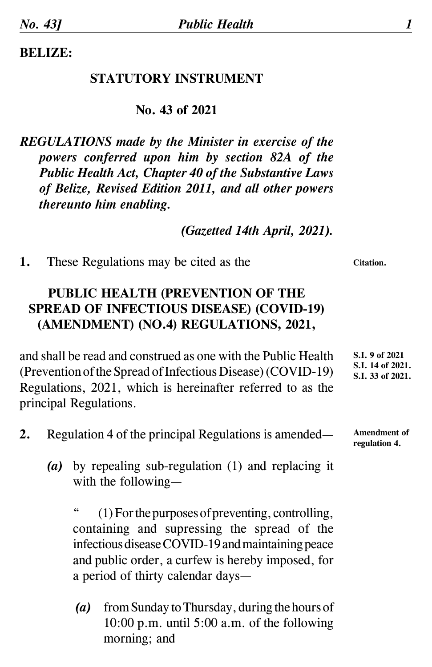**BELIZE:**

#### **STATUTORY INSTRUMENT**

#### **No. 43 of 2021**

*REGULATIONS made by the Minister in exercise of the powers conferred upon him by section 82A of the Public Health Act, Chapter 40 of the Substantive Laws of Belize, Revised Edition 2011, and all other powers thereunto him enabling.*

*(Gazetted 14th April, 2021).*

**1.** These Regulations may be cited as the

# **PUBLIC HEALTH (PREVENTION OF THE SPREAD OF INFECTIOUS DISEASE) (COVID-19) (AMENDMENT) (NO.4) REGULATIONS, 2021,**

and shall be read and construed as one with the Public Health (Prevention of the Spread of Infectious Disease) (COVID-19) Regulations, 2021, which is hereinafter referred to as the principal Regulations.

- **2.** Regulation 4 of the principal Regulations is amended—
	- *(a)* by repealing sub-regulation (1) and replacing it with the following—

(1) For the purposes of preventing, controlling, containing and supressing the spread of the infectious disease COVID-19 and maintaining peace and public order, a curfew is hereby imposed, for a period of thirty calendar days—

*(a)* from Sunday to Thursday, during the hours of 10:00 p.m. until 5:00 a.m. of the following morning; and

**S.I. 9 of 2021 S.I. 14 of 2021. S.I. 33 of 2021.**

**Amendment of regulation 4.**

**Citation.**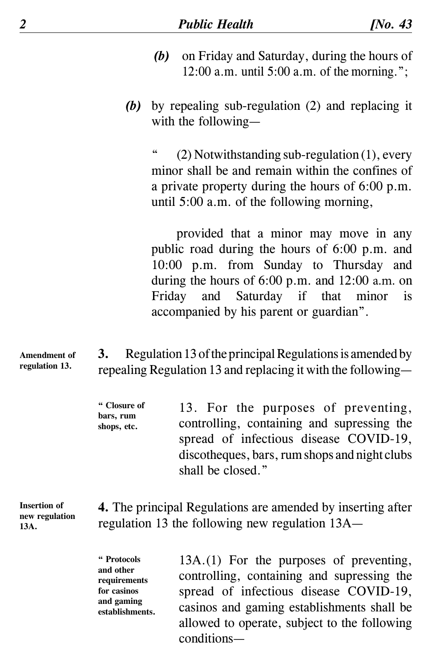- *(b)* on Friday and Saturday, during the hours of 12:00 a.m. until 5:00 a.m. of the morning.";
- *(b)* by repealing sub-regulation (2) and replacing it with the following—

 $(2)$  Notwithstanding sub-regulation  $(1)$ , every minor shall be and remain within the confines of a private property during the hours of 6:00 p.m. until 5:00 a.m. of the following morning,

 provided that a minor may move in any public road during the hours of 6:00 p.m. and 10:00 p.m. from Sunday to Thursday and during the hours of 6:00 p.m. and 12:00 a.m. on Friday and Saturday if that minor is accompanied by his parent or guardian".

**3.** Regulation 13 of the principal Regulations is amended by repealing Regulation 13 and replacing it with the following— **Amendment of regulation 13.**

> **" Closure of bars, rum shops, etc.**  13. For the purposes of preventing, controlling, containing and supressing the spread of infectious disease COVID-19, discotheques, bars, rum shops and night clubs shall be closed."

**Insertion of new regulation 13A.**

**4.** The principal Regulations are amended by inserting after regulation 13 the following new regulation 13A—

**" Protocols and other requirements for casinos and gaming establishments.**

13A. (1) For the purposes of preventing, controlling, containing and supressing the spread of infectious disease COVID-19, casinos and gaming establishments shall be allowed to operate, subject to the following conditions—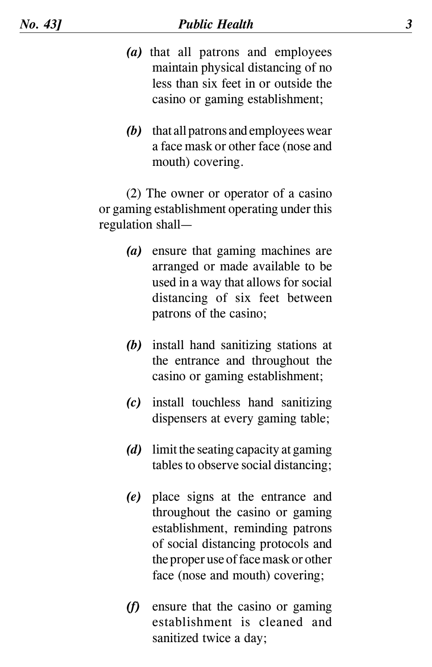- *(a)* that all patrons and employees maintain physical distancing of no less than six feet in or outside the casino or gaming establishment;
- *(b)* that all patrons and employees wear a face mask or other face (nose and mouth) covering.

 (2) The owner or operator of a casino or gaming establishment operating under this regulation shall—

- *(a)* ensure that gaming machines are arranged or made available to be used in a way that allows for social distancing of six feet between patrons of the casino;
- *(b)* install hand sanitizing stations at the entrance and throughout the casino or gaming establishment;
- *(c)* install touchless hand sanitizing dispensers at every gaming table;
- *(d)* limit the seating capacity at gaming tables to observe social distancing;
- *(e)* place signs at the entrance and throughout the casino or gaming establishment, reminding patrons of social distancing protocols and the proper use of face mask or other face (nose and mouth) covering;
- *(f)* ensure that the casino or gaming establishment is cleaned and sanitized twice a day;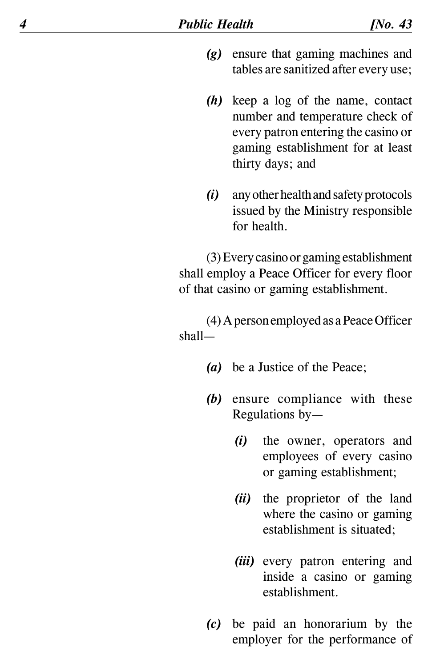- *(g)* ensure that gaming machines and tables are sanitized after every use;
- *(h)* keep a log of the name, contact number and temperature check of every patron entering the casino or gaming establishment for at least thirty days; and
- *(i)* any other health and safety protocols issued by the Ministry responsible for health.

 (3) Every casino or gaming establishment shall employ a Peace Officer for every floor of that casino or gaming establishment.

 (4) A person employed as a Peace Officer shall—

- *(a)* be a Justice of the Peace;
- *(b)* ensure compliance with these Regulations by—
	- *(i)* the owner, operators and employees of every casino or gaming establishment;
	- *(ii)* the proprietor of the land where the casino or gaming establishment is situated;
	- *(iii)* every patron entering and inside a casino or gaming establishment.
- *(c)* be paid an honorarium by the employer for the performance of